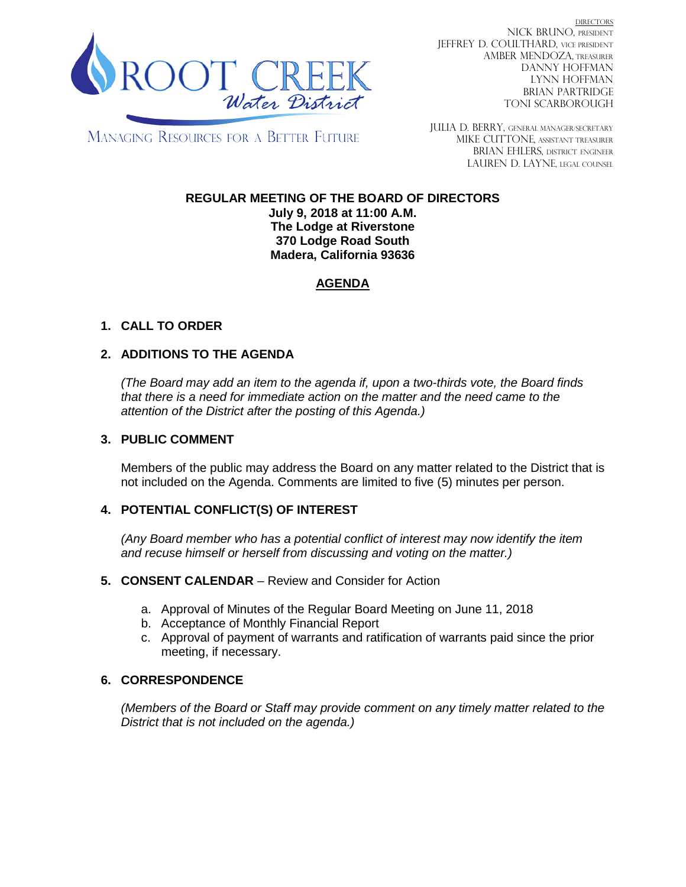

DIRECTORS NICK BRUNO, PRESIDENT JEFFREY D. COULTHARD, VICE PRESIDENT AMBER MENDOZA, TREASURER DANNY HOFFMAN LYNN HOFFMAN BRIAN PARTRIDGE TONI SCARBOROUGH

MANAGING RESOURCES FOR A BETTER FUTURE

JULIA D. BERRY, GENERAL MANAGER/secretary MIKE CUTTONE, Assistant treasurer BRIAN EHLERS, DISTRICT ENGINEER LAUREN D. LAYNE, LEGAL COUNSEL

# **REGULAR MEETING OF THE BOARD OF DIRECTORS**

**July 9, 2018 at 11:00 A.M. The Lodge at Riverstone 370 Lodge Road South Madera, California 93636**

## **AGENDA**

### **1. CALL TO ORDER**

### **2. ADDITIONS TO THE AGENDA**

*(The Board may add an item to the agenda if, upon a two-thirds vote, the Board finds that there is a need for immediate action on the matter and the need came to the attention of the District after the posting of this Agenda.)*

#### **3. PUBLIC COMMENT**

Members of the public may address the Board on any matter related to the District that is not included on the Agenda. Comments are limited to five (5) minutes per person.

#### **4. POTENTIAL CONFLICT(S) OF INTEREST**

*(Any Board member who has a potential conflict of interest may now identify the item and recuse himself or herself from discussing and voting on the matter.)*

#### **5. CONSENT CALENDAR** – Review and Consider for Action

- a. Approval of Minutes of the Regular Board Meeting on June 11, 2018
- b. Acceptance of Monthly Financial Report
- c. Approval of payment of warrants and ratification of warrants paid since the prior meeting, if necessary.

#### **6. CORRESPONDENCE**

*(Members of the Board or Staff may provide comment on any timely matter related to the District that is not included on the agenda.)*